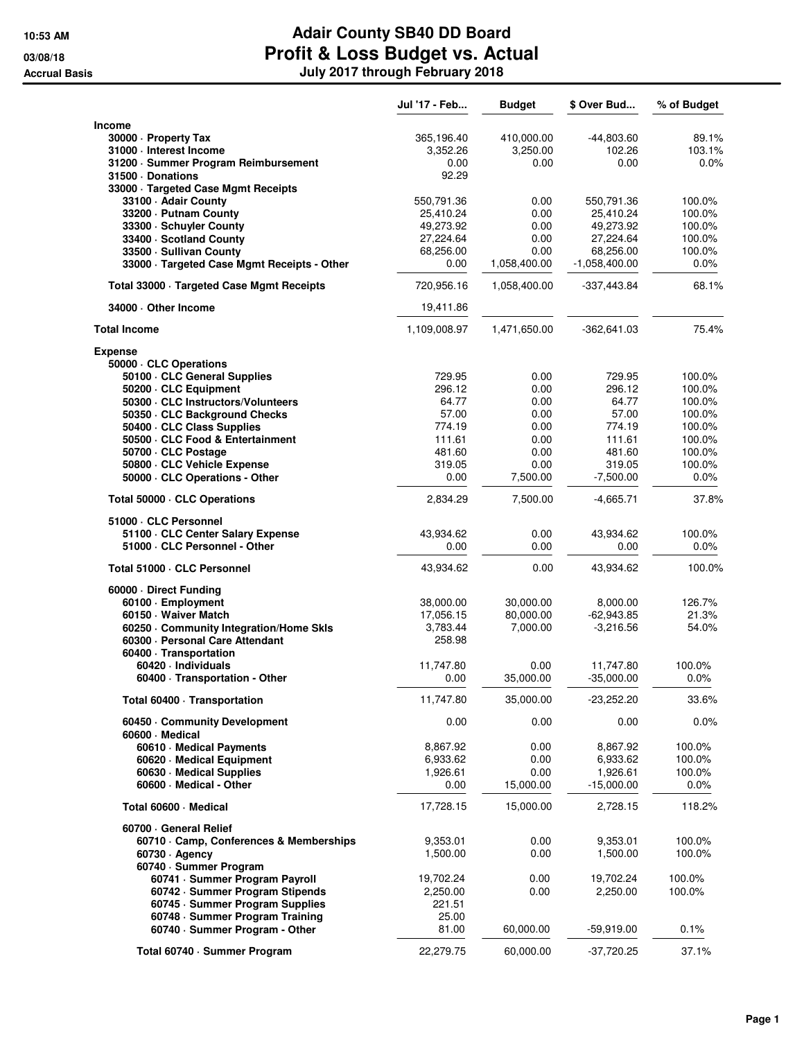|                                                               | Jul '17 - Feb         | <b>Budget</b>         | \$ Over Bud                 | % of Budget      |
|---------------------------------------------------------------|-----------------------|-----------------------|-----------------------------|------------------|
| Income                                                        |                       |                       |                             |                  |
| 30000 · Property Tax                                          | 365,196.40            | 410,000.00            | $-44,803.60$                | 89.1%            |
| 31000 · Interest Income                                       | 3,352.26              | 3,250.00              | 102.26                      | 103.1%           |
| 31200 · Summer Program Reimbursement                          | 0.00                  | 0.00                  | 0.00                        | 0.0%             |
| 31500 Donations                                               | 92.29                 |                       |                             |                  |
| 33000 · Targeted Case Mgmt Receipts                           |                       |                       |                             |                  |
| 33100 - Adair County                                          | 550,791.36            | 0.00                  | 550,791.36                  | 100.0%           |
| 33200 · Putnam County                                         | 25,410.24             | 0.00                  | 25,410.24                   | 100.0%           |
| 33300 · Schuyler County                                       | 49,273.92             | 0.00                  | 49,273.92                   | 100.0%           |
| 33400 · Scotland County                                       | 27,224.64             | 0.00                  | 27,224.64                   | 100.0%           |
| 33500 · Sullivan County                                       | 68,256.00             | 0.00                  | 68,256.00                   | 100.0%           |
| 33000 · Targeted Case Mgmt Receipts - Other                   | 0.00                  | 1,058,400.00          | $-1,058,400.00$             | 0.0%             |
| Total 33000 · Targeted Case Mgmt Receipts                     | 720,956.16            | 1,058,400.00          | -337,443.84                 | 68.1%            |
| 34000 Other Income                                            | 19,411.86             |                       |                             |                  |
| <b>Total Income</b>                                           | 1,109,008.97          | 1,471,650.00          | $-362,641.03$               | 75.4%            |
|                                                               |                       |                       |                             |                  |
| <b>Expense</b>                                                |                       |                       |                             |                  |
| 50000 · CLC Operations<br>50100 · CLC General Supplies        | 729.95                | 0.00                  | 729.95                      | 100.0%           |
| 50200 · CLC Equipment                                         | 296.12                | 0.00                  | 296.12                      | 100.0%           |
| 50300 · CLC Instructors/Volunteers                            | 64.77                 | 0.00                  | 64.77                       | 100.0%           |
| 50350 · CLC Background Checks                                 | 57.00                 | 0.00                  | 57.00                       | 100.0%           |
| 50400 · CLC Class Supplies                                    | 774.19                | 0.00                  | 774.19                      | 100.0%           |
| 50500 · CLC Food & Entertainment                              | 111.61                | 0.00                  | 111.61                      | 100.0%           |
| 50700 · CLC Postage                                           | 481.60                | 0.00                  | 481.60                      | 100.0%           |
| 50800 · CLC Vehicle Expense                                   | 319.05                | 0.00                  | 319.05                      | 100.0%           |
| 50000 · CLC Operations - Other                                | 0.00                  | 7,500.00              | $-7,500.00$                 | 0.0%             |
| Total 50000 · CLC Operations                                  | 2,834.29              | 7,500.00              | $-4,665.71$                 | 37.8%            |
| 51000 · CLC Personnel                                         |                       |                       |                             |                  |
| 51100 · CLC Center Salary Expense                             | 43,934.62             | 0.00                  | 43,934.62                   | 100.0%           |
| 51000 · CLC Personnel - Other                                 | 0.00                  | 0.00                  | 0.00                        | 0.0%             |
| Total 51000 · CLC Personnel                                   | 43,934.62             | 0.00                  | 43,934.62                   | 100.0%           |
|                                                               |                       |                       |                             |                  |
| 60000 Direct Funding                                          |                       |                       |                             |                  |
| 60100 · Employment                                            | 38,000.00             | 30,000.00             | 8,000.00                    | 126.7%           |
| 60150 · Waiver Match<br>60250 Community Integration/Home Skls | 17,056.15<br>3,783.44 | 80,000.00<br>7,000.00 | $-62,943.85$<br>$-3,216.56$ | 21.3%<br>54.0%   |
| 60300 - Personal Care Attendant                               | 258.98                |                       |                             |                  |
| 60400 · Transportation                                        |                       |                       |                             |                  |
| 60420 - Individuals                                           | 11,747.80             | 0.00                  | 11,747.80                   | 100.0%           |
| 60400 · Transportation - Other                                | 0.00                  | 35,000.00             | $-35,000.00$                | 0.0%             |
| Total 60400 · Transportation                                  | 11,747.80             | 35,000.00             | $-23,252.20$                | 33.6%            |
| 60450 Community Development<br>60600 · Medical                | 0.00                  | 0.00                  | 0.00                        | 0.0%             |
| 60610 · Medical Payments                                      | 8,867.92              | 0.00                  | 8,867.92                    | 100.0%           |
| 60620 · Medical Equipment                                     | 6,933.62              | 0.00                  | 6,933.62                    | 100.0%           |
| 60630 Medical Supplies                                        | 1,926.61              | 0.00                  | 1,926.61                    | 100.0%           |
| 60600 - Medical - Other                                       | 0.00                  | 15,000.00             | $-15,000.00$                | $0.0\%$          |
| Total 60600 - Medical                                         | 17,728.15             | 15,000.00             | 2,728.15                    | 118.2%           |
|                                                               |                       |                       |                             |                  |
| 60700 General Relief                                          |                       |                       |                             |                  |
| 60710 Camp, Conferences & Memberships<br>$60730 \cdot$ Agency | 9,353.01<br>1,500.00  | 0.00<br>0.00          | 9,353.01<br>1,500.00        | 100.0%<br>100.0% |
| 60740 · Summer Program                                        |                       |                       |                             |                  |
| 60741 - Summer Program Payroll                                | 19,702.24             | 0.00                  | 19,702.24                   | 100.0%           |
| 60742 · Summer Program Stipends                               | 2,250.00              | 0.00                  | 2,250.00                    | 100.0%           |
| 60745 · Summer Program Supplies                               | 221.51                |                       |                             |                  |
| 60748 · Summer Program Training                               | 25.00                 |                       |                             |                  |
| 60740 · Summer Program - Other                                | 81.00                 | 60,000.00             | $-59,919.00$                | 0.1%             |
| Total 60740 · Summer Program                                  | 22,279.75             | 60,000.00             | $-37,720.25$                | 37.1%            |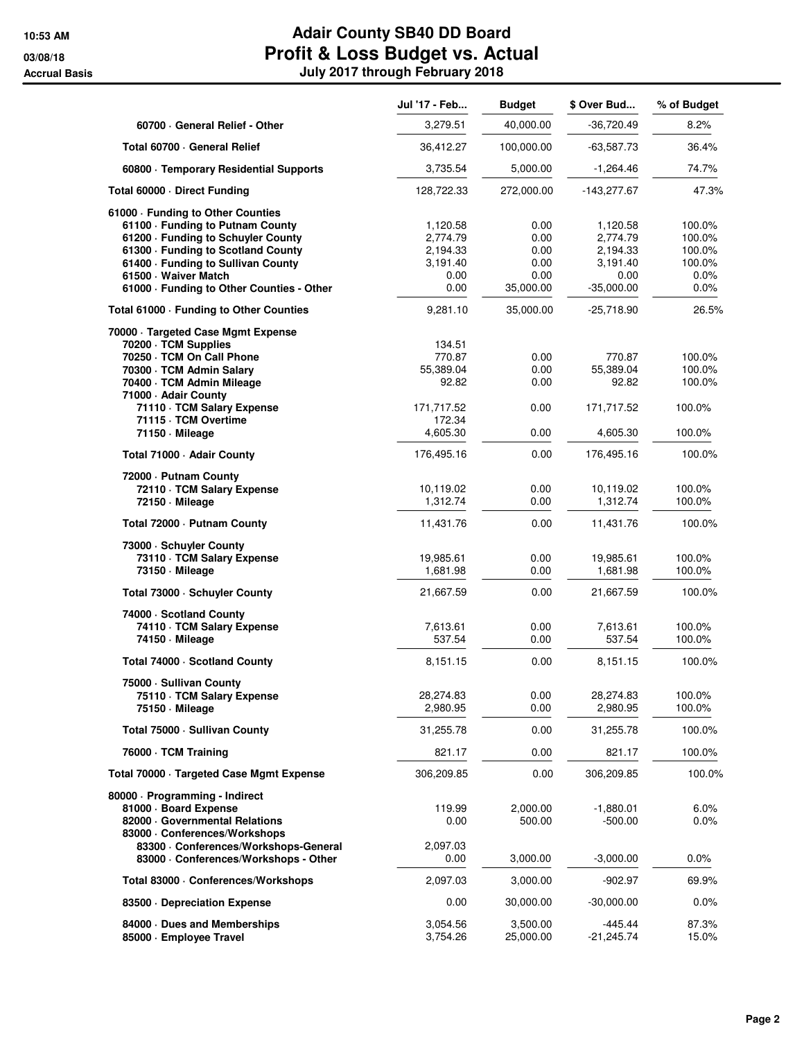|                                                                   | Jul '17 - Feb        | <b>Budget</b>         | \$ Over Bud             | % of Budget     |
|-------------------------------------------------------------------|----------------------|-----------------------|-------------------------|-----------------|
| 60700 General Relief - Other                                      | 3,279.51             | 40,000.00             | -36,720.49              | 8.2%            |
| Total 60700 - General Relief                                      | 36,412.27            | 100,000.00            | -63,587.73              | 36.4%           |
| 60800 · Temporary Residential Supports                            | 3,735.54             | 5,000.00              | $-1,264.46$             | 74.7%           |
| Total 60000 · Direct Funding                                      | 128,722.33           | 272,000.00            | $-143,277.67$           | 47.3%           |
| 61000 · Funding to Other Counties                                 |                      |                       |                         |                 |
| 61100 · Funding to Putnam County                                  | 1,120.58             | 0.00                  | 1,120.58                | 100.0%          |
| 61200 - Funding to Schuyler County                                | 2,774.79             | 0.00                  | 2,774.79                | 100.0%          |
| 61300 · Funding to Scotland County                                | 2,194.33             | 0.00                  | 2,194.33                | 100.0%          |
| 61400 - Funding to Sullivan County                                | 3,191.40             | 0.00                  | 3,191.40                | 100.0%          |
| 61500 · Waiver Match<br>61000 · Funding to Other Counties - Other | 0.00<br>0.00         | 0.00<br>35,000.00     | 0.00<br>$-35,000.00$    | $0.0\%$<br>0.0% |
| Total 61000 · Funding to Other Counties                           | 9,281.10             | 35,000.00             | $-25,718.90$            | 26.5%           |
| 70000 · Targeted Case Mgmt Expense                                |                      |                       |                         |                 |
| 70200 · TCM Supplies                                              | 134.51               |                       |                         |                 |
| 70250 · TCM On Call Phone                                         | 770.87               | 0.00                  | 770.87                  | 100.0%          |
| 70300 · TCM Admin Salary                                          | 55,389.04            | 0.00                  | 55,389.04               | 100.0%          |
| 70400 · TCM Admin Mileage<br>71000 - Adair County                 | 92.82                | 0.00                  | 92.82                   | 100.0%          |
| 71110 · TCM Salary Expense                                        | 171,717.52           | 0.00                  | 171,717.52              | 100.0%          |
| 71115 · TCM Overtime                                              | 172.34               |                       |                         |                 |
| 71150 - Mileage                                                   | 4,605.30             | 0.00                  | 4,605.30                | 100.0%          |
| Total 71000 - Adair County                                        | 176,495.16           | 0.00                  | 176,495.16              | 100.0%          |
| 72000 - Putnam County                                             |                      |                       |                         |                 |
| 72110 · TCM Salary Expense                                        | 10,119.02            | 0.00                  | 10,119.02               | 100.0%          |
| 72150 - Mileage                                                   | 1,312.74             | 0.00                  | 1,312.74                | 100.0%          |
| Total 72000 - Putnam County                                       | 11,431.76            | 0.00                  | 11,431.76               | 100.0%          |
| 73000 - Schuyler County                                           |                      |                       |                         |                 |
| 73110 · TCM Salary Expense                                        | 19,985.61            | 0.00                  | 19,985.61               | 100.0%          |
| 73150 - Mileage                                                   | 1,681.98             | 0.00                  | 1,681.98                | 100.0%          |
| Total 73000 · Schuyler County                                     | 21,667.59            | 0.00                  | 21,667.59               | 100.0%          |
| 74000 - Scotland County                                           |                      |                       |                         |                 |
| 74110 · TCM Salary Expense                                        | 7,613.61             | 0.00                  | 7,613.61                | 100.0%          |
| 74150 - Mileage                                                   | 537.54               | 0.00                  | 537.54                  | 100.0%          |
| Total 74000 · Scotland County                                     | 8,151.15             | 0.00                  | 8,151.15                | 100.0%          |
| 75000 · Sullivan County                                           |                      |                       |                         |                 |
| 75110 · TCM Salary Expense                                        | 28,274.83            | 0.00                  | 28,274.83               | 100.0%          |
| 75150 Mileage                                                     | 2,980.95             | 0.00                  | 2,980.95                | 100.0%          |
| Total 75000 - Sullivan County                                     | 31,255.78            | 0.00                  | 31,255.78               | 100.0%          |
| 76000 · TCM Training                                              | 821.17               | 0.00                  | 821.17                  | 100.0%          |
| Total 70000 · Targeted Case Mgmt Expense                          | 306,209.85           | 0.00                  | 306,209.85              | 100.0%          |
| 80000 · Programming - Indirect                                    |                      |                       |                         |                 |
| 81000 · Board Expense                                             | 119.99               | 2,000.00              | $-1,880.01$             | 6.0%            |
| 82000 Governmental Relations                                      | 0.00                 | 500.00                | -500.00                 | $0.0\%$         |
| 83000 Conferences/Workshops                                       |                      |                       |                         |                 |
| 83300 · Conferences/Workshops-General                             | 2,097.03             |                       |                         |                 |
| 83000 · Conferences/Workshops - Other                             | 0.00                 | 3,000.00              | $-3,000.00$             | $0.0\%$         |
| Total 83000 · Conferences/Workshops                               | 2,097.03             | 3,000.00              | $-902.97$               | 69.9%           |
| 83500 Depreciation Expense                                        | 0.00                 | 30,000.00             | $-30,000.00$            | 0.0%            |
|                                                                   |                      |                       |                         |                 |
| 84000 Dues and Memberships<br>85000 · Employee Travel             | 3,054.56<br>3,754.26 | 3,500.00<br>25,000.00 | $-445.44$<br>-21,245.74 | 87.3%<br>15.0%  |
|                                                                   |                      |                       |                         |                 |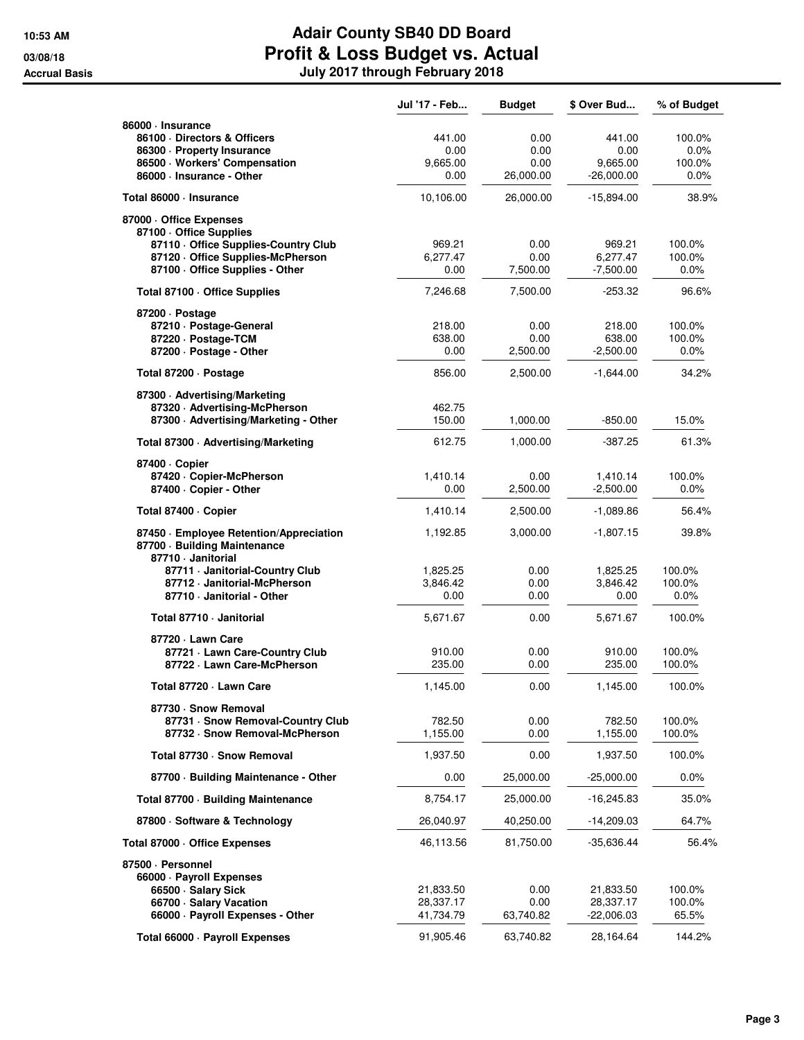|                                                                                               | Jul '17 - Feb    | <b>Budget</b> | \$ Over Bud      | % of Budget       |
|-----------------------------------------------------------------------------------------------|------------------|---------------|------------------|-------------------|
| 86000 · Insurance                                                                             |                  |               |                  |                   |
| 86100 Directors & Officers                                                                    | 441.00           | 0.00          | 441.00           | 100.0%            |
| 86300 · Property Insurance<br>86500 · Workers' Compensation                                   | 0.00<br>9,665.00 | 0.00<br>0.00  | 0.00<br>9,665.00 | $0.0\%$<br>100.0% |
| 86000 · Insurance - Other                                                                     | 0.00             | 26,000.00     | $-26,000.00$     | $0.0\%$           |
| Total 86000 · Insurance                                                                       | 10,106.00        | 26,000.00     | $-15,894.00$     | 38.9%             |
| 87000 · Office Expenses                                                                       |                  |               |                  |                   |
| 87100 - Office Supplies                                                                       |                  |               |                  |                   |
| 87110 Office Supplies-Country Club                                                            | 969.21           | 0.00          | 969.21           | 100.0%            |
| 87120 Office Supplies-McPherson                                                               | 6,277.47         | 0.00          | 6,277.47         | 100.0%            |
| 87100 - Office Supplies - Other                                                               | 0.00             | 7,500.00      | $-7,500.00$      | $0.0\%$           |
| Total 87100 · Office Supplies                                                                 | 7,246.68         | 7,500.00      | $-253.32$        | 96.6%             |
| 87200 Dostage<br>87210 · Postage-General                                                      | 218.00           | 0.00          | 218.00           | 100.0%            |
| 87220 · Postage-TCM                                                                           | 638.00           | 0.00          | 638.00           | 100.0%            |
| 87200 - Postage - Other                                                                       | 0.00             | 2,500.00      | $-2,500.00$      | $0.0\%$           |
| Total 87200 - Postage                                                                         | 856.00           | 2,500.00      | $-1,644.00$      | 34.2%             |
| 87300 - Advertising/Marketing                                                                 |                  |               |                  |                   |
| 87320 Advertising-McPherson                                                                   | 462.75           |               |                  |                   |
| 87300 - Advertising/Marketing - Other                                                         | 150.00           | 1,000.00      | $-850.00$        | 15.0%             |
| Total 87300 · Advertising/Marketing                                                           | 612.75           | 1,000.00      | $-387.25$        | 61.3%             |
| 87400 · Copier                                                                                |                  |               |                  |                   |
| 87420 · Copier-McPherson                                                                      | 1,410.14         | 0.00          | 1,410.14         | 100.0%            |
| 87400 - Copier - Other                                                                        | 0.00             | 2,500.00      | $-2,500.00$      | 0.0%              |
| Total 87400 · Copier                                                                          | 1,410.14         | 2,500.00      | $-1,089.86$      | 56.4%             |
| 87450 · Employee Retention/Appreciation<br>87700 · Building Maintenance<br>87710 - Janitorial | 1,192.85         | 3,000.00      | $-1,807.15$      | 39.8%             |
| 87711 Janitorial-Country Club                                                                 | 1,825.25         | 0.00          | 1,825.25         | 100.0%            |
| 87712 · Janitorial-McPherson                                                                  | 3,846.42         | 0.00          | 3,846.42         | 100.0%            |
| 87710 - Janitorial - Other                                                                    | 0.00             | 0.00          | 0.00             | $0.0\%$           |
| Total 87710 - Janitorial                                                                      | 5,671.67         | 0.00          | 5,671.67         | 100.0%            |
| 87720 · Lawn Care                                                                             |                  |               |                  |                   |
| 87721 - Lawn Care-Country Club                                                                | 910.00           | 0.00          | 910.00           | 100.0%            |
| 87722 · Lawn Care-McPherson                                                                   | 235.00           | 0.00          | 235.00           | 100.0%            |
| Total 87720 · Lawn Care                                                                       | 1,145.00         | 0.00          | 1,145.00         | 100.0%            |
| 87730 · Snow Removal                                                                          |                  |               |                  |                   |
| 87731 · Snow Removal-Country Club                                                             | 782.50           | 0.00          | 782.50           | 100.0%            |
| 87732 · Snow Removal-McPherson                                                                | 1,155.00         | 0.00          | 1,155.00         | 100.0%            |
| Total 87730 · Snow Removal                                                                    | 1,937.50         | 0.00          | 1,937.50         | 100.0%            |
| 87700 · Building Maintenance - Other                                                          | 0.00             | 25,000.00     | -25,000.00       | $0.0\%$           |
| Total 87700 · Building Maintenance                                                            | 8,754.17         | 25,000.00     | $-16,245.83$     | 35.0%             |
| 87800 · Software & Technology                                                                 | 26,040.97        | 40,250.00     | $-14,209.03$     | 64.7%             |
| Total 87000 Office Expenses                                                                   | 46,113.56        | 81,750.00     | $-35,636.44$     | 56.4%             |
| 87500 · Personnel                                                                             |                  |               |                  |                   |
| 66000 · Payroll Expenses<br>66500 · Salary Sick                                               | 21,833.50        | 0.00          | 21,833.50        | 100.0%            |
| 66700 · Salary Vacation                                                                       | 28,337.17        | 0.00          | 28,337.17        | 100.0%            |
| 66000 · Payroll Expenses - Other                                                              | 41,734.79        | 63,740.82     | $-22,006.03$     | 65.5%             |
| Total 66000 · Payroll Expenses                                                                | 91,905.46        | 63,740.82     | 28,164.64        | 144.2%            |
|                                                                                               |                  |               |                  |                   |